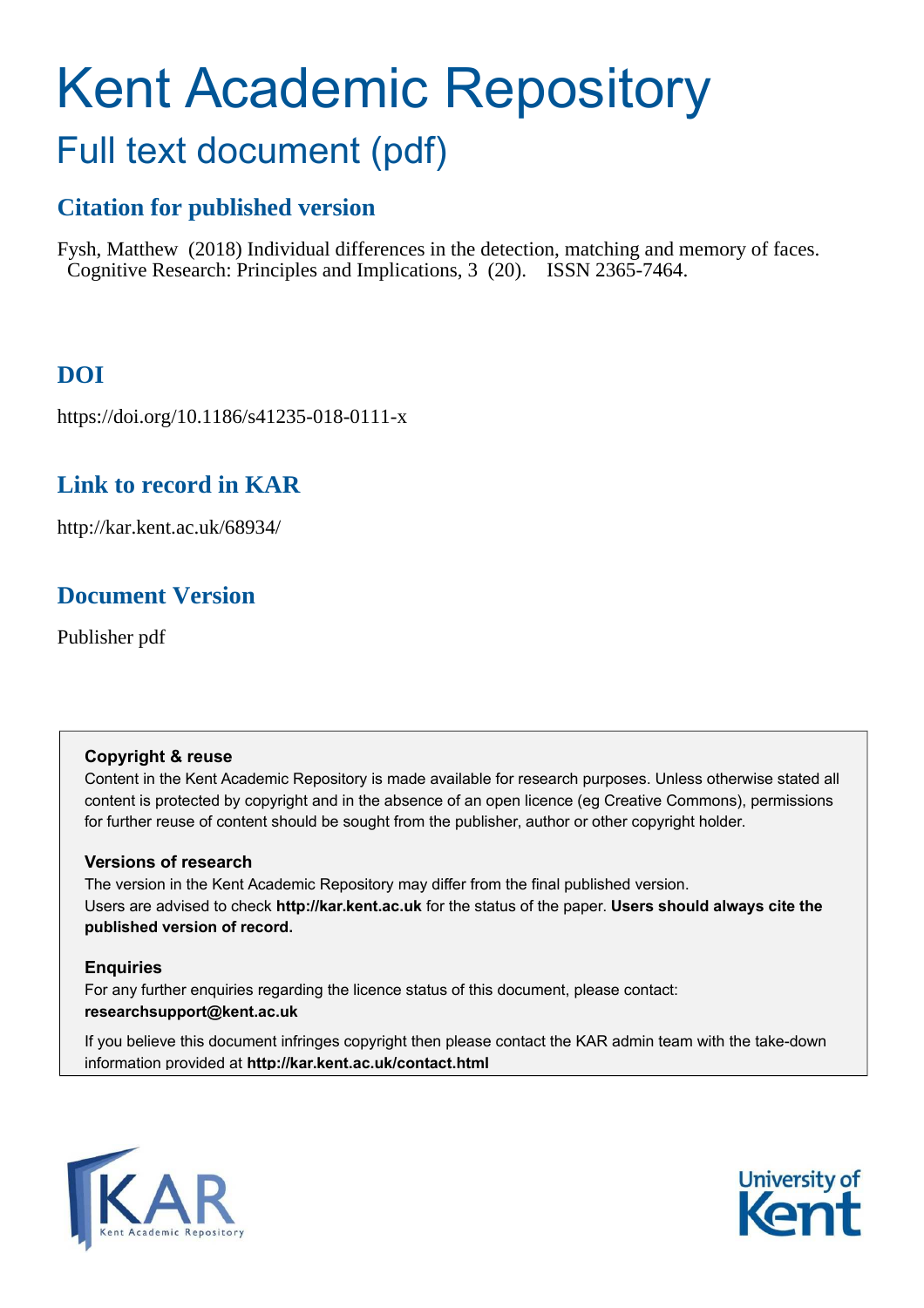# Kent Academic Repository Full text document (pdf)

# **Citation for published version**

Fysh, Matthew (2018) Individual differences in the detection, matching and memory of faces. Cognitive Research: Principles and Implications, 3 (20). ISSN 2365-7464.

# **DOI**

https://doi.org/10.1186/s41235-018-0111-x

# **Link to record in KAR**

http://kar.kent.ac.uk/68934/

# **Document Version**

Publisher pdf

# **Copyright & reuse**

Content in the Kent Academic Repository is made available for research purposes. Unless otherwise stated all content is protected by copyright and in the absence of an open licence (eg Creative Commons), permissions for further reuse of content should be sought from the publisher, author or other copyright holder.

# **Versions of research**

The version in the Kent Academic Repository may differ from the final published version. Users are advised to check **http://kar.kent.ac.uk** for the status of the paper. **Users should always cite the published version of record.**

# **Enquiries**

For any further enquiries regarding the licence status of this document, please contact: **researchsupport@kent.ac.uk**

If you believe this document infringes copyright then please contact the KAR admin team with the take-down information provided at **http://kar.kent.ac.uk/contact.html**



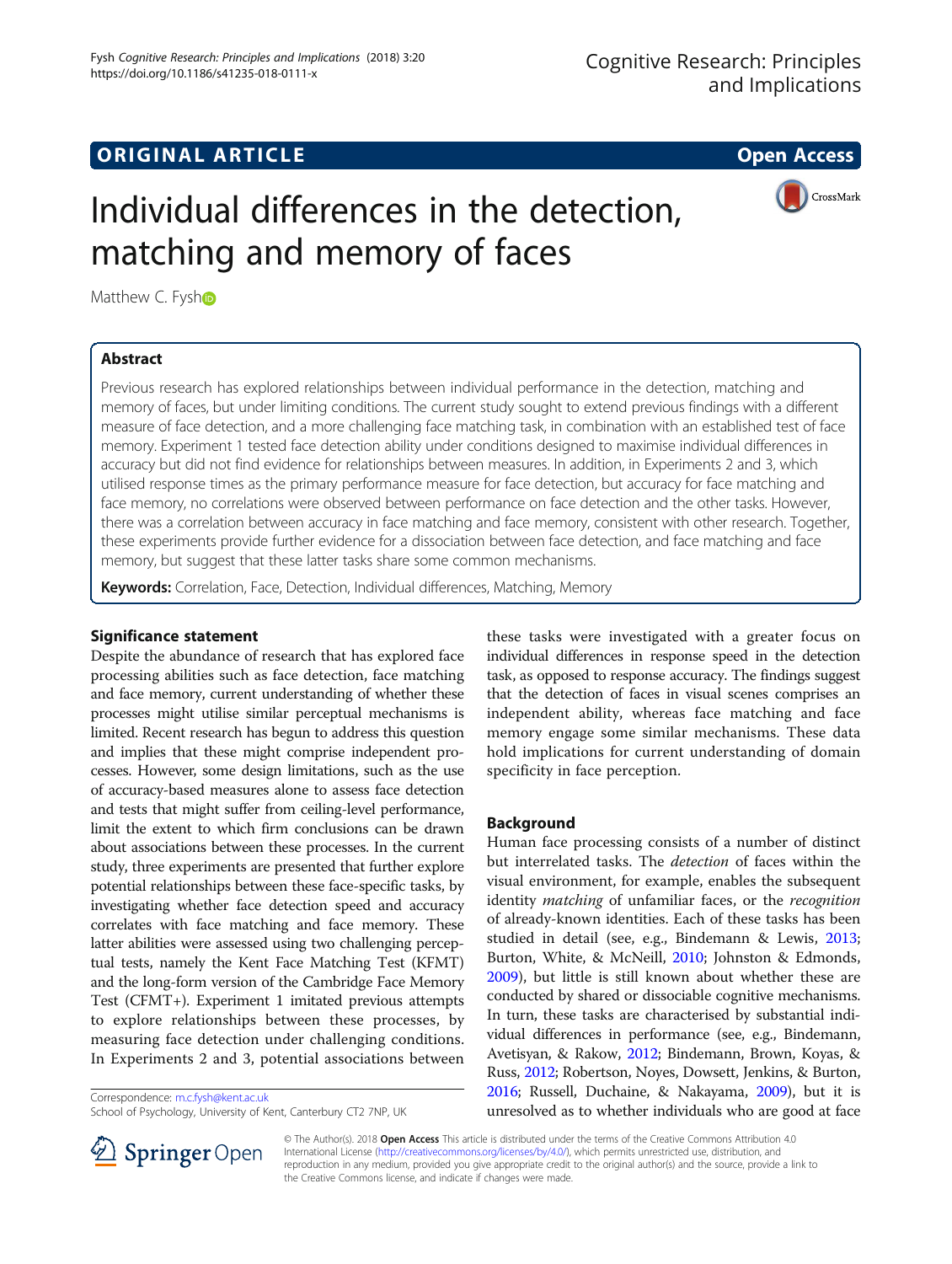# **ORIGINAL ARTICLE CONSERVANCE IN A LOCAL CONSERVANCE IN A LOCAL CONSERVANCE IN A LOCAL CONSERVANCE IN A LOCAL CONS**

CrossMark

# Individual differences in the detection, matching and memory of faces

Matt[h](http://orcid.org/0000-0002-3812-3749)ew C. Fysho

### Abstract

Previous research has explored relationships between individual performance in the detection, matching and memory of faces, but under limiting conditions. The current study sought to extend previous findings with a different measure of face detection, and a more challenging face matching task, in combination with an established test of face memory. Experiment 1 tested face detection ability under conditions designed to maximise individual differences in accuracy but did not find evidence for relationships between measures. In addition, in Experiments 2 and 3, which utilised response times as the primary performance measure for face detection, but accuracy for face matching and face memory, no correlations were observed between performance on face detection and the other tasks. However, there was a correlation between accuracy in face matching and face memory, consistent with other research. Together, these experiments provide further evidence for a dissociation between face detection, and face matching and face memory, but suggest that these latter tasks share some common mechanisms.

Keywords: Correlation, Face, Detection, Individual differences, Matching, Memory

### Significance statement

Despite the abundance of research that has explored face processing abilities such as face detection, face matching and face memory, current understanding of whether these processes might utilise similar perceptual mechanisms is limited. Recent research has begun to address this question and implies that these might comprise independent processes. However, some design limitations, such as the use of accuracy-based measures alone to assess face detection and tests that might suffer from ceiling-level performance, limit the extent to which firm conclusions can be drawn about associations between these processes. In the current study, three experiments are presented that further explore potential relationships between these face-specific tasks, by investigating whether face detection speed and accuracy correlates with face matching and face memory. These latter abilities were assessed using two challenging perceptual tests, namely the Kent Face Matching Test (KFMT) and the long-form version of the Cambridge Face Memory Test (CFMT+). Experiment 1 imitated previous attempts to explore relationships between these processes, by measuring face detection under challenging conditions. In Experiments 2 and 3, potential associations between

Correspondence: [m.c.fysh@kent.ac.uk](mailto:m.c.fysh@kent.ac.uk) School of Psychology, University of Kent, Canterbury CT2 7NP, UK

these tasks were investigated with a greater focus on individual differences in response speed in the detection task, as opposed to response accuracy. The findings suggest that the detection of faces in visual scenes comprises an independent ability, whereas face matching and face memory engage some similar mechanisms. These data hold implications for current understanding of domain specificity in face perception.

### Background

Human face processing consists of a number of distinct but interrelated tasks. The detection of faces within the visual environment, for example, enables the subsequent identity *matching* of unfamiliar faces, or the *recognition* of already-known identities. Each of these tasks has been studied in detail (see, e.g., Bindemann & Lewis, [2013](#page-10-0); Burton, White, & McNeill, [2010](#page-10-0); Johnston & Edmonds, [2009](#page-11-0)), but little is still known about whether these are conducted by shared or dissociable cognitive mechanisms. In turn, these tasks are characterised by substantial individual differences in performance (see, e.g., Bindemann, Avetisyan, & Rakow, [2012;](#page-10-0) Bindemann, Brown, Koyas, & Russ, [2012](#page-10-0); Robertson, Noyes, Dowsett, Jenkins, & Burton, [2016;](#page-11-0) Russell, Duchaine, & Nakayama, [2009\)](#page-11-0), but it is unresolved as to whether individuals who are good at face



© The Author(s). 2018 Open Access This article is distributed under the terms of the Creative Commons Attribution 4.0 International License ([http://creativecommons.org/licenses/by/4.0/\)](http://creativecommons.org/licenses/by/4.0/), which permits unrestricted use, distribution, and reproduction in any medium, provided you give appropriate credit to the original author(s) and the source, provide a link to the Creative Commons license, and indicate if changes were made.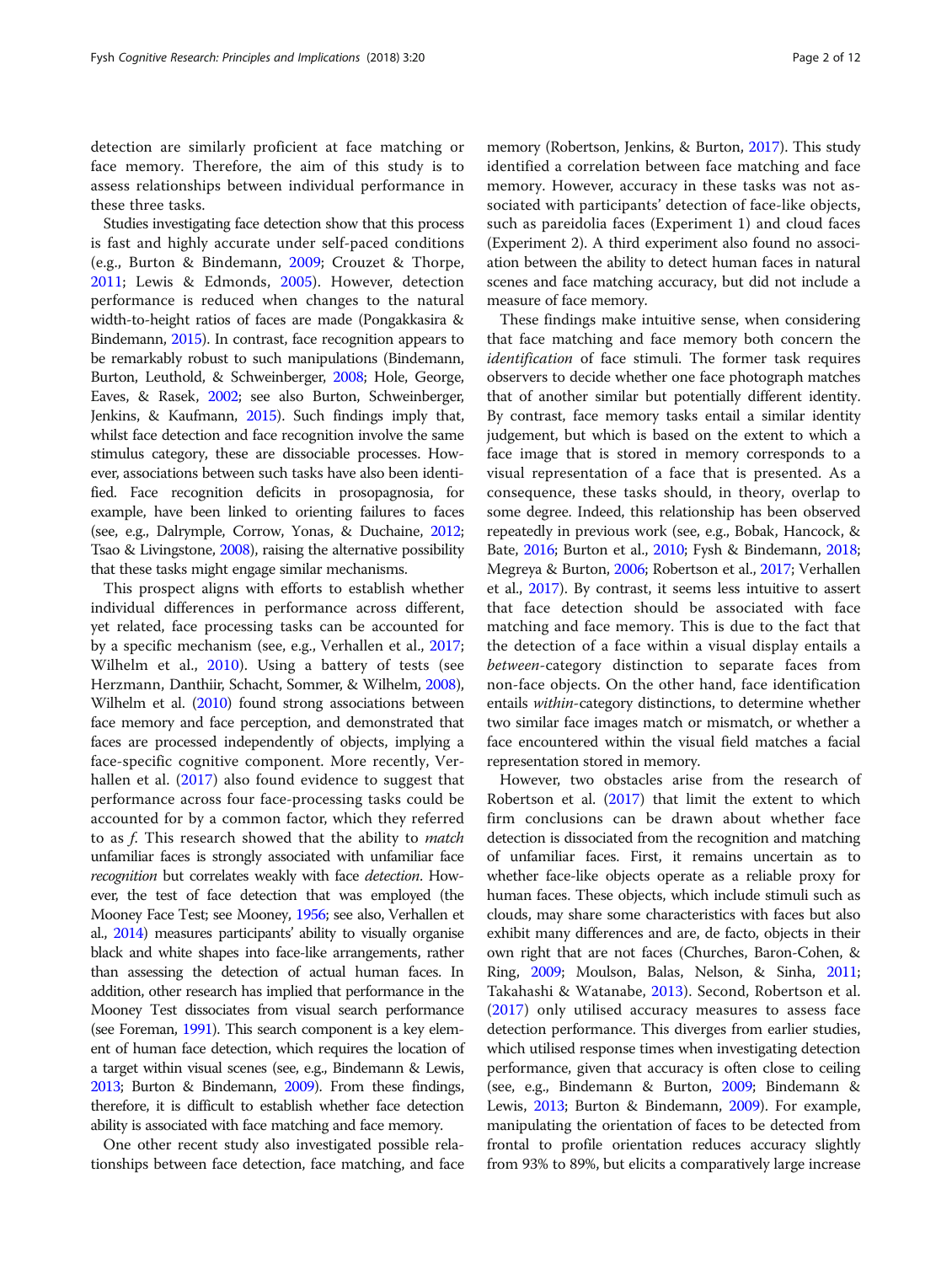detection are similarly proficient at face matching or face memory. Therefore, the aim of this study is to assess relationships between individual performance in these three tasks.

Studies investigating face detection show that this process is fast and highly accurate under self-paced conditions (e.g., Burton & Bindemann, [2009;](#page-10-0) Crouzet & Thorpe, [2011;](#page-10-0) Lewis & Edmonds, [2005](#page-11-0)). However, detection performance is reduced when changes to the natural width-to-height ratios of faces are made (Pongakkasira & Bindemann, [2015](#page-11-0)). In contrast, face recognition appears to be remarkably robust to such manipulations (Bindemann, Burton, Leuthold, & Schweinberger, [2008;](#page-10-0) Hole, George, Eaves, & Rasek, [2002](#page-11-0); see also Burton, Schweinberger, Jenkins, & Kaufmann, [2015](#page-10-0)). Such findings imply that, whilst face detection and face recognition involve the same stimulus category, these are dissociable processes. However, associations between such tasks have also been identified. Face recognition deficits in prosopagnosia, for example, have been linked to orienting failures to faces (see, e.g., Dalrymple, Corrow, Yonas, & Duchaine, [2012](#page-11-0); Tsao & Livingstone, [2008](#page-11-0)), raising the alternative possibility that these tasks might engage similar mechanisms.

This prospect aligns with efforts to establish whether individual differences in performance across different, yet related, face processing tasks can be accounted for by a specific mechanism (see, e.g., Verhallen et al., [2017](#page-11-0); Wilhelm et al., [2010\)](#page-11-0). Using a battery of tests (see Herzmann, Danthiir, Schacht, Sommer, & Wilhelm, [2008](#page-11-0)), Wilhelm et al. [\(2010](#page-11-0)) found strong associations between face memory and face perception, and demonstrated that faces are processed independently of objects, implying a face-specific cognitive component. More recently, Verhallen et al. [\(2017](#page-11-0)) also found evidence to suggest that performance across four face-processing tasks could be accounted for by a common factor, which they referred to as f. This research showed that the ability to match unfamiliar faces is strongly associated with unfamiliar face recognition but correlates weakly with face detection. However, the test of face detection that was employed (the Mooney Face Test; see Mooney, [1956;](#page-11-0) see also, Verhallen et al., [2014\)](#page-11-0) measures participants' ability to visually organise black and white shapes into face-like arrangements, rather than assessing the detection of actual human faces. In addition, other research has implied that performance in the Mooney Test dissociates from visual search performance (see Foreman, [1991\)](#page-11-0). This search component is a key element of human face detection, which requires the location of a target within visual scenes (see, e.g., Bindemann & Lewis, [2013](#page-10-0); Burton & Bindemann, [2009\)](#page-10-0). From these findings, therefore, it is difficult to establish whether face detection ability is associated with face matching and face memory.

One other recent study also investigated possible relationships between face detection, face matching, and face

memory (Robertson, Jenkins, & Burton, [2017\)](#page-11-0). This study identified a correlation between face matching and face memory. However, accuracy in these tasks was not associated with participants' detection of face-like objects, such as pareidolia faces (Experiment 1) and cloud faces (Experiment 2). A third experiment also found no association between the ability to detect human faces in natural scenes and face matching accuracy, but did not include a measure of face memory.

These findings make intuitive sense, when considering that face matching and face memory both concern the identification of face stimuli. The former task requires observers to decide whether one face photograph matches that of another similar but potentially different identity. By contrast, face memory tasks entail a similar identity judgement, but which is based on the extent to which a face image that is stored in memory corresponds to a visual representation of a face that is presented. As a consequence, these tasks should, in theory, overlap to some degree. Indeed, this relationship has been observed repeatedly in previous work (see, e.g., Bobak, Hancock, & Bate, [2016;](#page-10-0) Burton et al., [2010](#page-10-0); Fysh & Bindemann, [2018](#page-11-0); Megreya & Burton, [2006;](#page-11-0) Robertson et al., [2017](#page-11-0); Verhallen et al., [2017](#page-11-0)). By contrast, it seems less intuitive to assert that face detection should be associated with face matching and face memory. This is due to the fact that the detection of a face within a visual display entails a between-category distinction to separate faces from non-face objects. On the other hand, face identification entails within-category distinctions, to determine whether two similar face images match or mismatch, or whether a face encountered within the visual field matches a facial representation stored in memory.

However, two obstacles arise from the research of Robertson et al. ([2017\)](#page-11-0) that limit the extent to which firm conclusions can be drawn about whether face detection is dissociated from the recognition and matching of unfamiliar faces. First, it remains uncertain as to whether face-like objects operate as a reliable proxy for human faces. These objects, which include stimuli such as clouds, may share some characteristics with faces but also exhibit many differences and are, de facto, objects in their own right that are not faces (Churches, Baron-Cohen, & Ring, [2009](#page-10-0); Moulson, Balas, Nelson, & Sinha, [2011](#page-11-0); Takahashi & Watanabe, [2013\)](#page-11-0). Second, Robertson et al. ([2017\)](#page-11-0) only utilised accuracy measures to assess face detection performance. This diverges from earlier studies, which utilised response times when investigating detection performance, given that accuracy is often close to ceiling (see, e.g., Bindemann & Burton, [2009;](#page-10-0) Bindemann & Lewis, [2013](#page-10-0); Burton & Bindemann, [2009](#page-10-0)). For example, manipulating the orientation of faces to be detected from frontal to profile orientation reduces accuracy slightly from 93% to 89%, but elicits a comparatively large increase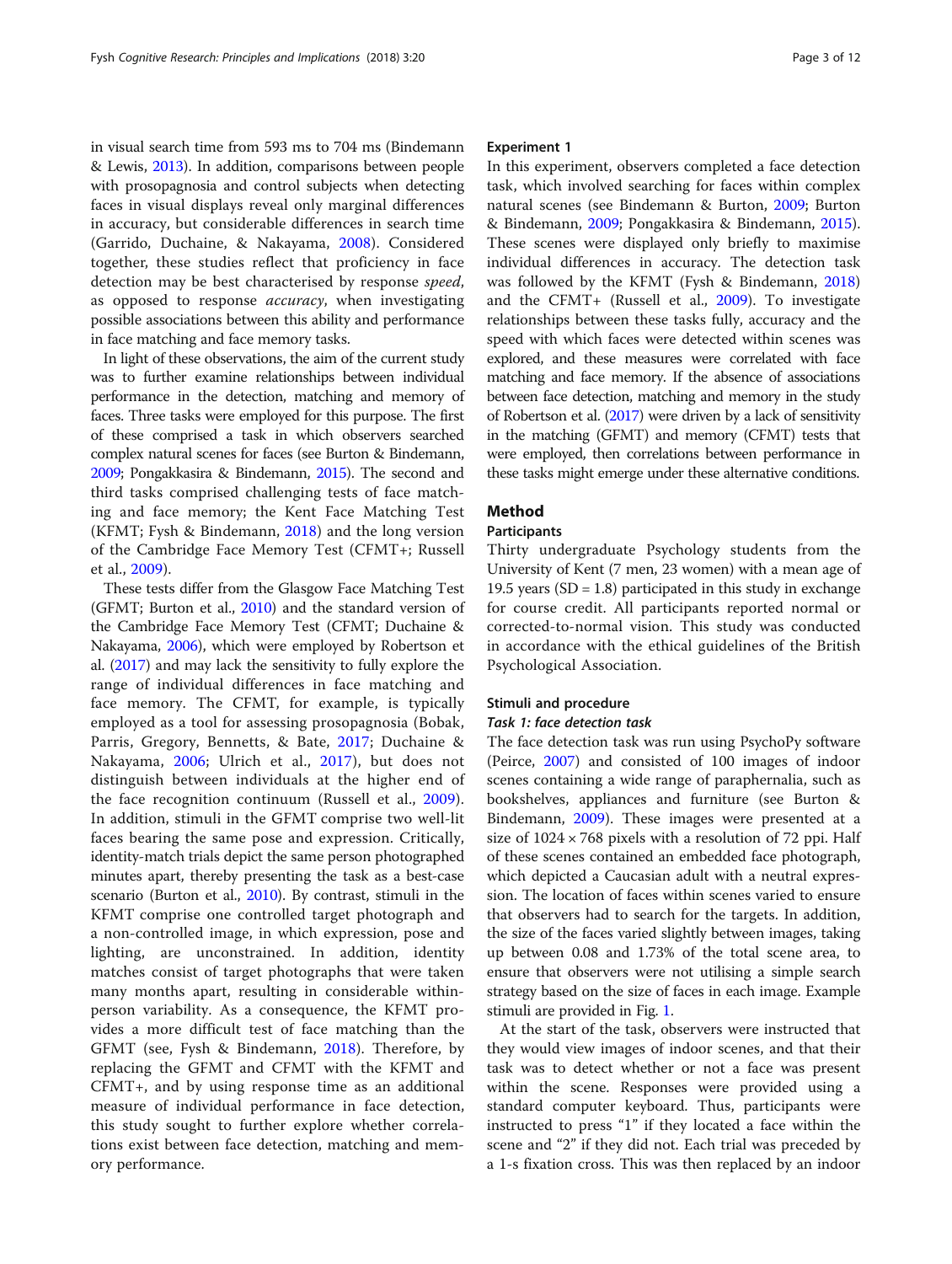<span id="page-3-0"></span>in visual search time from 593 ms to 704 ms (Bindemann & Lewis, [2013\)](#page-10-0). In addition, comparisons between people with prosopagnosia and control subjects when detecting faces in visual displays reveal only marginal differences in accuracy, but considerable differences in search time (Garrido, Duchaine, & Nakayama, [2008](#page-11-0)). Considered together, these studies reflect that proficiency in face detection may be best characterised by response speed, as opposed to response *accuracy*, when investigating possible associations between this ability and performance in face matching and face memory tasks.

In light of these observations, the aim of the current study was to further examine relationships between individual performance in the detection, matching and memory of faces. Three tasks were employed for this purpose. The first of these comprised a task in which observers searched complex natural scenes for faces (see Burton & Bindemann, [2009;](#page-10-0) Pongakkasira & Bindemann, [2015\)](#page-11-0). The second and third tasks comprised challenging tests of face matching and face memory; the Kent Face Matching Test (KFMT; Fysh & Bindemann, [2018](#page-11-0)) and the long version of the Cambridge Face Memory Test (CFMT+; Russell et al., [2009\)](#page-11-0).

These tests differ from the Glasgow Face Matching Test (GFMT; Burton et al., [2010](#page-10-0)) and the standard version of the Cambridge Face Memory Test (CFMT; Duchaine & Nakayama, [2006\)](#page-11-0), which were employed by Robertson et al. ([2017](#page-11-0)) and may lack the sensitivity to fully explore the range of individual differences in face matching and face memory. The CFMT, for example, is typically employed as a tool for assessing prosopagnosia (Bobak, Parris, Gregory, Bennetts, & Bate, [2017](#page-10-0); Duchaine & Nakayama, [2006;](#page-11-0) Ulrich et al., [2017\)](#page-11-0), but does not distinguish between individuals at the higher end of the face recognition continuum (Russell et al., [2009](#page-11-0)). In addition, stimuli in the GFMT comprise two well-lit faces bearing the same pose and expression. Critically, identity-match trials depict the same person photographed minutes apart, thereby presenting the task as a best-case scenario (Burton et al., [2010\)](#page-10-0). By contrast, stimuli in the KFMT comprise one controlled target photograph and a non-controlled image, in which expression, pose and lighting, are unconstrained. In addition, identity matches consist of target photographs that were taken many months apart, resulting in considerable withinperson variability. As a consequence, the KFMT provides a more difficult test of face matching than the GFMT (see, Fysh & Bindemann, [2018\)](#page-11-0). Therefore, by replacing the GFMT and CFMT with the KFMT and CFMT+, and by using response time as an additional measure of individual performance in face detection, this study sought to further explore whether correlations exist between face detection, matching and memory performance.

#### Experiment 1

In this experiment, observers completed a face detection task, which involved searching for faces within complex natural scenes (see Bindemann & Burton, [2009;](#page-10-0) Burton & Bindemann, [2009](#page-10-0); Pongakkasira & Bindemann, [2015](#page-11-0)). These scenes were displayed only briefly to maximise individual differences in accuracy. The detection task was followed by the KFMT (Fysh & Bindemann, [2018](#page-11-0)) and the CFMT+ (Russell et al., [2009\)](#page-11-0). To investigate relationships between these tasks fully, accuracy and the speed with which faces were detected within scenes was explored, and these measures were correlated with face matching and face memory. If the absence of associations between face detection, matching and memory in the study of Robertson et al. [\(2017\)](#page-11-0) were driven by a lack of sensitivity in the matching (GFMT) and memory (CFMT) tests that were employed, then correlations between performance in these tasks might emerge under these alternative conditions.

### Method

#### Participants

Thirty undergraduate Psychology students from the University of Kent (7 men, 23 women) with a mean age of 19.5 years  $(SD = 1.8)$  participated in this study in exchange for course credit. All participants reported normal or corrected-to-normal vision. This study was conducted in accordance with the ethical guidelines of the British Psychological Association.

#### Stimuli and procedure

#### Task 1: face detection task

The face detection task was run using PsychoPy software (Peirce, [2007\)](#page-11-0) and consisted of 100 images of indoor scenes containing a wide range of paraphernalia, such as bookshelves, appliances and furniture (see Burton & Bindemann, [2009\)](#page-10-0). These images were presented at a size of  $1024 \times 768$  pixels with a resolution of 72 ppi. Half of these scenes contained an embedded face photograph, which depicted a Caucasian adult with a neutral expression. The location of faces within scenes varied to ensure that observers had to search for the targets. In addition, the size of the faces varied slightly between images, taking up between 0.08 and 1.73% of the total scene area, to ensure that observers were not utilising a simple search strategy based on the size of faces in each image. Example stimuli are provided in Fig. 1.

At the start of the task, observers were instructed that they would view images of indoor scenes, and that their task was to detect whether or not a face was present within the scene. Responses were provided using a standard computer keyboard. Thus, participants were instructed to press "1" if they located a face within the scene and "2" if they did not. Each trial was preceded by a 1-s fixation cross. This was then replaced by an indoor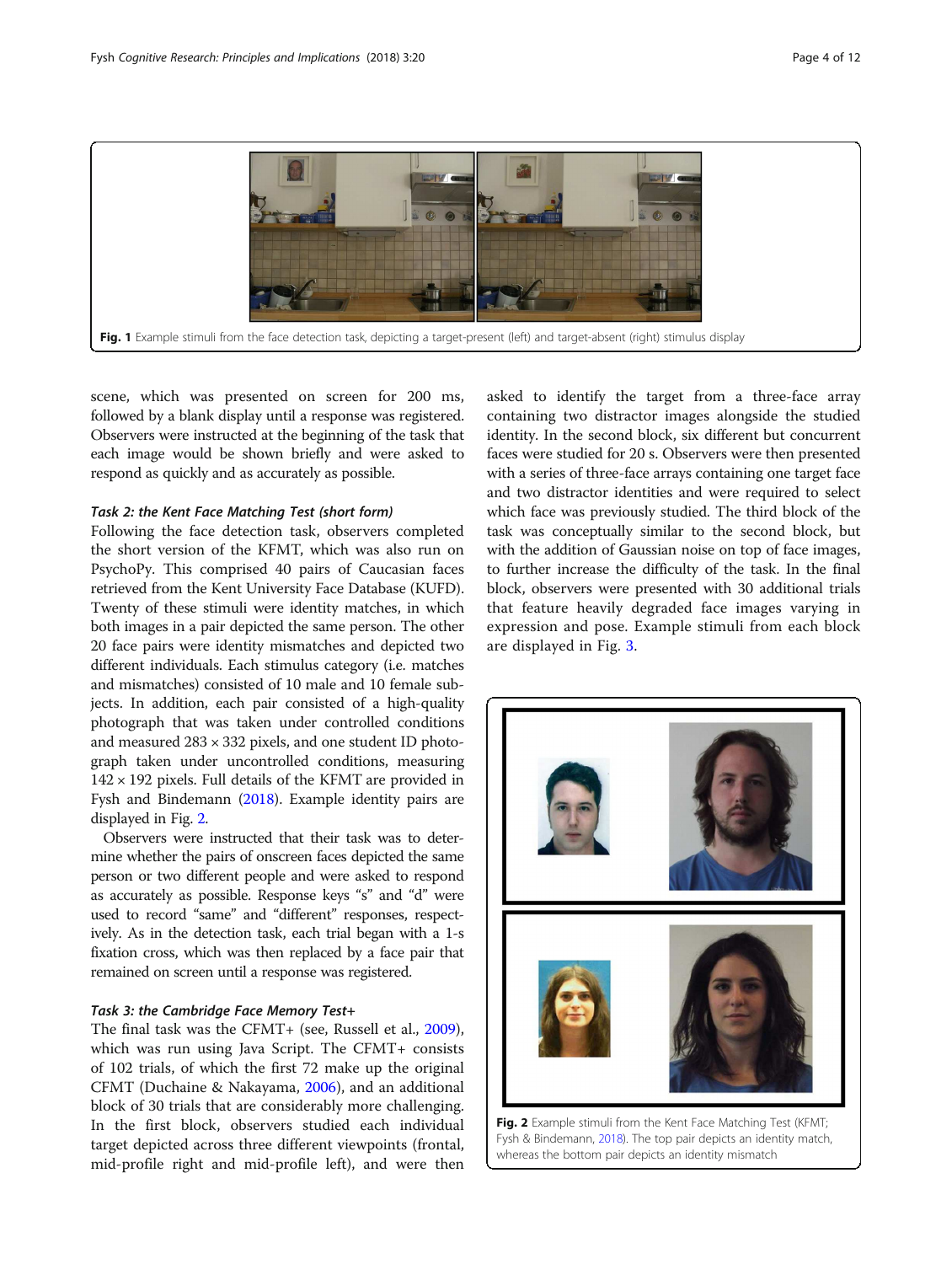

scene, which was presented on screen for 200 ms, followed by a blank display until a response was registered. Observers were instructed at the beginning of the task that each image would be shown briefly and were asked to respond as quickly and as accurately as possible.

#### Task 2: the Kent Face Matching Test (short form)

Following the face detection task, observers completed the short version of the KFMT, which was also run on PsychoPy. This comprised 40 pairs of Caucasian faces retrieved from the Kent University Face Database (KUFD). Twenty of these stimuli were identity matches, in which both images in a pair depicted the same person. The other 20 face pairs were identity mismatches and depicted two different individuals. Each stimulus category (i.e. matches and mismatches) consisted of 10 male and 10 female subjects. In addition, each pair consisted of a high-quality photograph that was taken under controlled conditions and measured 283 × 332 pixels, and one student ID photograph taken under uncontrolled conditions, measuring  $142 \times 192$  pixels. Full details of the KFMT are provided in Fysh and Bindemann [\(2018](#page-11-0)). Example identity pairs are displayed in Fig. [2](#page-3-0).

Observers were instructed that their task was to determine whether the pairs of onscreen faces depicted the same person or two different people and were asked to respond as accurately as possible. Response keys "s" and "d" were used to record "same" and "different" responses, respectively. As in the detection task, each trial began with a 1-s fixation cross, which was then replaced by a face pair that remained on screen until a response was registered.

#### Task 3: the Cambridge Face Memory Test+

The final task was the CFMT+ (see, Russell et al., [2009](#page-11-0)), which was run using Java Script. The CFMT+ consists of 102 trials, of which the first 72 make up the original CFMT (Duchaine & Nakayama, [2006](#page-11-0)), and an additional block of 30 trials that are considerably more challenging. In the first block, observers studied each individual target depicted across three different viewpoints (frontal, mid-profile right and mid-profile left), and were then

asked to identify the target from a three-face array containing two distractor images alongside the studied identity. In the second block, six different but concurrent faces were studied for 20 s. Observers were then presented with a series of three-face arrays containing one target face and two distractor identities and were required to select which face was previously studied. The third block of the task was conceptually similar to the second block, but with the addition of Gaussian noise on top of face images, to further increase the difficulty of the task. In the final block, observers were presented with 30 additional trials that feature heavily degraded face images varying in expression and pose. Example stimuli from each block are displayed in Fig. 3.



Fig. 2 Example stimuli from the Kent Face Matching Test (KFMT; Fysh & Bindemann, [2018\)](#page-11-0). The top pair depicts an identity match, whereas the bottom pair depicts an identity mismatch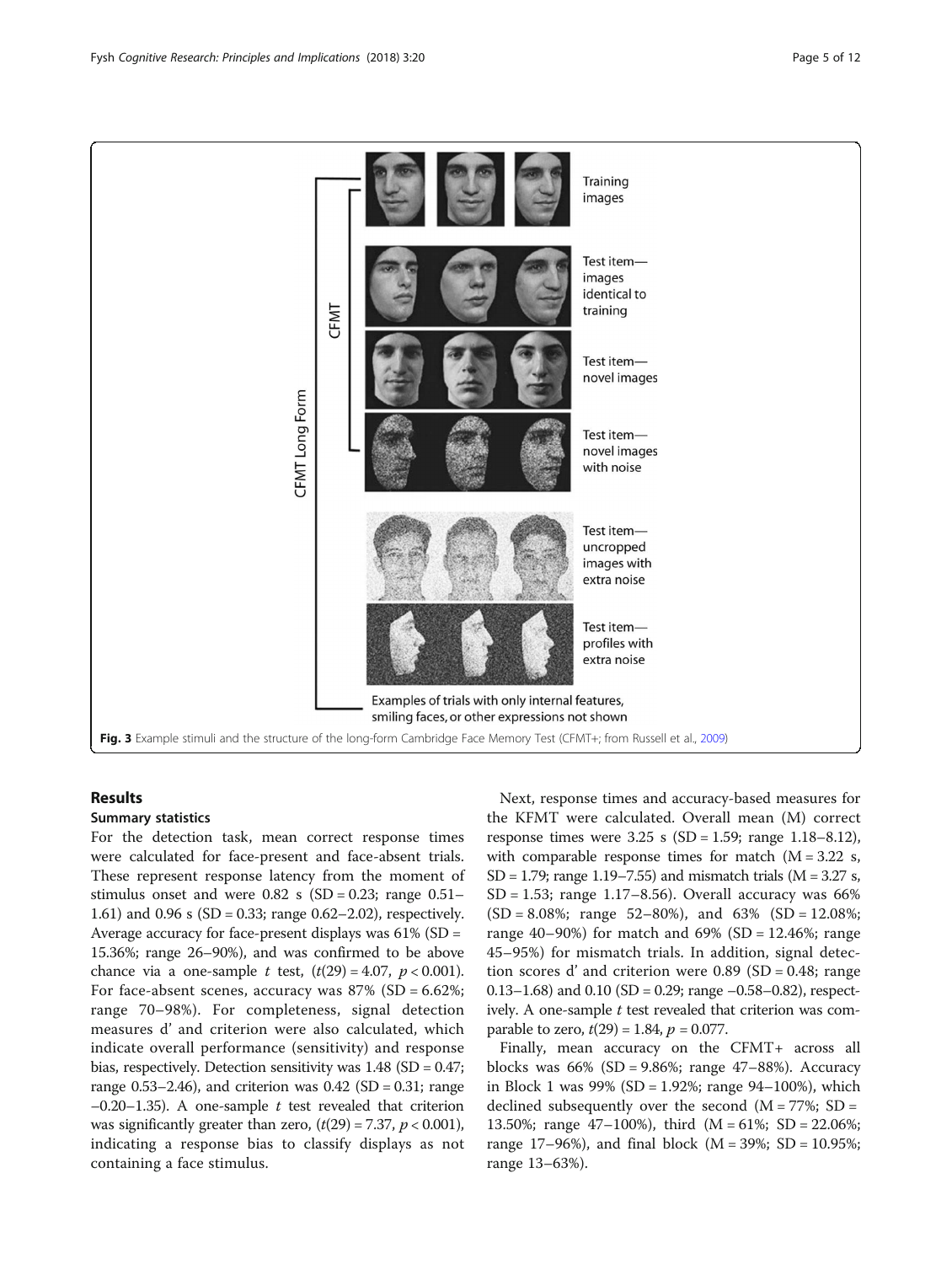

#### Results

#### Summary statistics

For the detection task, mean correct response times were calculated for face-present and face-absent trials. These represent response latency from the moment of stimulus onset and were  $0.82$  s (SD = 0.23; range  $0.51-$ 1.61) and 0.96 s (SD = 0.33; range 0.62–2.02), respectively. Average accuracy for face-present displays was 61% (SD = 15.36%; range 26–90%), and was confirmed to be above chance via a one-sample *t* test,  $(t(29) = 4.07, p < 0.001)$ . For face-absent scenes, accuracy was  $87\%$  (SD = 6.62%; range 70–98%). For completeness, signal detection measures d' and criterion were also calculated, which indicate overall performance (sensitivity) and response bias, respectively. Detection sensitivity was  $1.48$  (SD = 0.47; range  $0.53-2.46$ ), and criterion was  $0.42$  (SD =  $0.31$ ; range  $-0.20-1.35$ ). A one-sample t test revealed that criterion was significantly greater than zero,  $(t(29) = 7.37, p < 0.001)$ , indicating a response bias to classify displays as not containing a face stimulus.

Next, response times and accuracy-based measures for the KFMT were calculated. Overall mean (M) correct response times were  $3.25 \text{ s}$  (SD = 1.59; range 1.18–8.12), with comparable response times for match  $(M = 3.22 s,$ SD = 1.79; range 1.19–7.55) and mismatch trials ( $M = 3.27$  s,  $SD = 1.53$ ; range 1.17–8.56). Overall accuracy was 66%  $(SD = 8.08\%;$  range 52–80%), and 63%  $(SD = 12.08\%;$ range 40–90%) for match and  $69%$  (SD = 12.46%; range 45–95%) for mismatch trials. In addition, signal detection scores d'and criterion were  $0.89$  (SD = 0.48; range 0.13–1.68) and 0.10 (SD = 0.29; range  $-0.58-0.82$ ), respectively. A one-sample  $t$  test revealed that criterion was comparable to zero,  $t(29) = 1.84$ ,  $p = 0.077$ .

Finally, mean accuracy on the CFMT+ across all blocks was 66% (SD = 9.86%; range 47–88%). Accuracy in Block 1 was  $99\%$  (SD = 1.92%; range  $94-100\%$ ), which declined subsequently over the second  $(M = 77\%)$ ; SD = 13.50%; range 47–100%), third (M = 61%; SD = 22.06%; range 17–96%), and final block ( $M = 39\%$ ; SD = 10.95%; range 13–63%).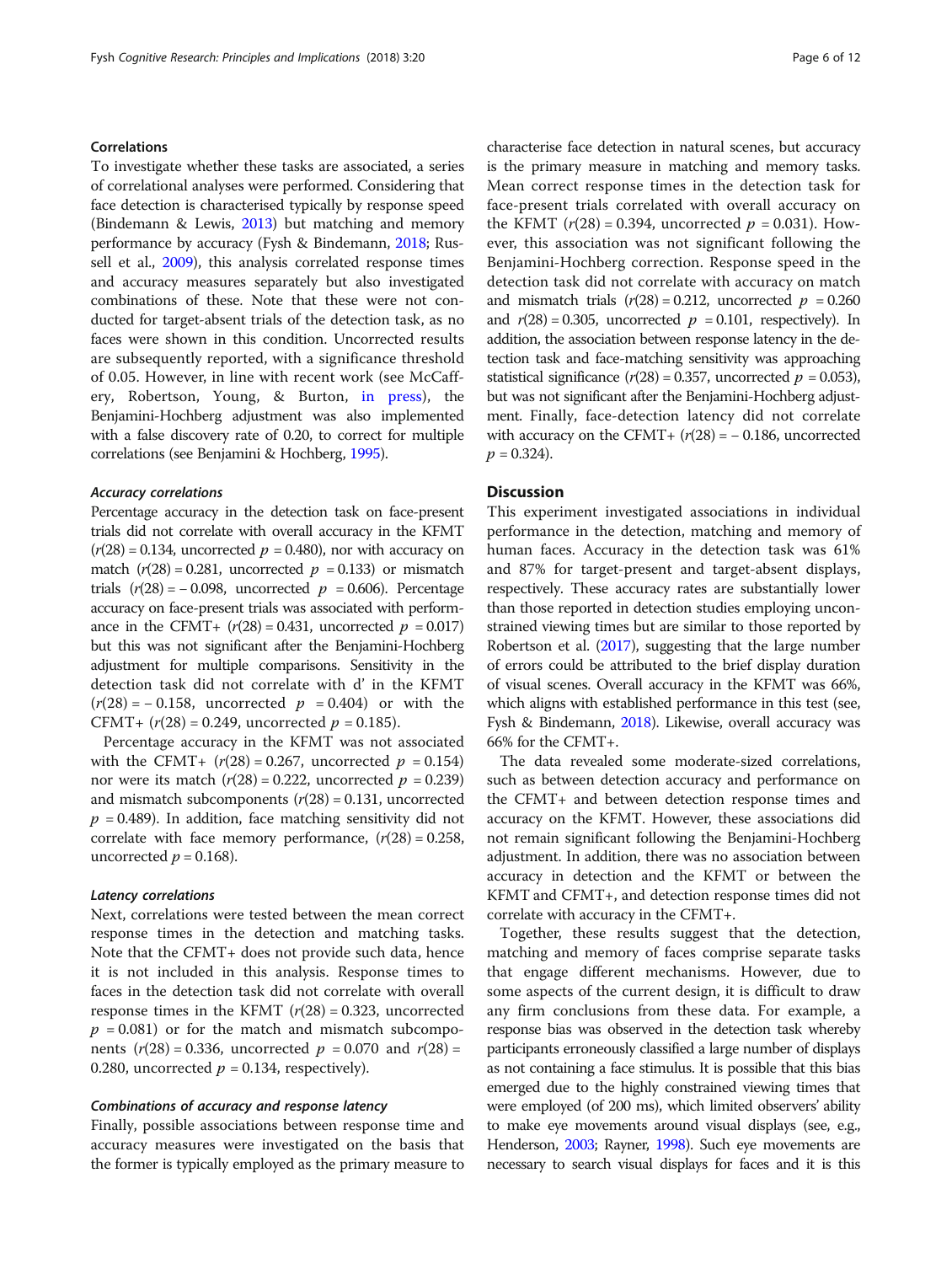#### Correlations

To investigate whether these tasks are associated, a series of correlational analyses were performed. Considering that face detection is characterised typically by response speed (Bindemann & Lewis, [2013\)](#page-10-0) but matching and memory performance by accuracy (Fysh & Bindemann, [2018;](#page-11-0) Russell et al., [2009\)](#page-11-0), this analysis correlated response times and accuracy measures separately but also investigated combinations of these. Note that these were not conducted for target-absent trials of the detection task, as no faces were shown in this condition. Uncorrected results are subsequently reported, with a significance threshold of 0.05. However, in line with recent work (see McCaffery, Robertson, Young, & Burton, [in press](#page-11-0)), the Benjamini-Hochberg adjustment was also implemented with a false discovery rate of 0.20, to correct for multiple correlations (see Benjamini & Hochberg, [1995\)](#page-10-0).

#### Accuracy correlations

Percentage accuracy in the detection task on face-present trials did not correlate with overall accuracy in the KFMT  $(r(28) = 0.134$ , uncorrected  $p = 0.480$ ), nor with accuracy on match  $(r(28) = 0.281$ , uncorrected  $p = 0.133$ ) or mismatch trials  $(r(28) = -0.098$ , uncorrected  $p = 0.606$ ). Percentage accuracy on face-present trials was associated with performance in the CFMT+  $(r(28) = 0.431,$  uncorrected  $p = 0.017$ ) but this was not significant after the Benjamini-Hochberg adjustment for multiple comparisons. Sensitivity in the detection task did not correlate with d' in the KFMT  $(r(28) = -0.158$ , uncorrected  $p = 0.404$  or with the CFMT+  $(r(28) = 0.249$ , uncorrected  $p = 0.185$ ).

Percentage accuracy in the KFMT was not associated with the CFMT+  $(r(28) = 0.267,$  uncorrected  $p = 0.154$ nor were its match  $(r(28) = 0.222)$ , uncorrected  $p = 0.239$ and mismatch subcomponents  $(r(28) = 0.131)$ , uncorrected  $p = 0.489$ ). In addition, face matching sensitivity did not correlate with face memory performance,  $(r(28) = 0.258,$ uncorrected  $p = 0.168$ ).

#### Latency correlations

Next, correlations were tested between the mean correct response times in the detection and matching tasks. Note that the CFMT+ does not provide such data, hence it is not included in this analysis. Response times to faces in the detection task did not correlate with overall response times in the KFMT  $(r(28) = 0.323)$ , uncorrected  $p = 0.081$ ) or for the match and mismatch subcomponents  $(r(28) = 0.336$ , uncorrected  $p = 0.070$  and  $r(28) =$ 0.280, uncorrected  $p = 0.134$ , respectively).

#### Combinations of accuracy and response latency

Finally, possible associations between response time and accuracy measures were investigated on the basis that the former is typically employed as the primary measure to characterise face detection in natural scenes, but accuracy is the primary measure in matching and memory tasks. Mean correct response times in the detection task for face-present trials correlated with overall accuracy on the KFMT ( $r(28) = 0.394$ , uncorrected  $p = 0.031$ ). However, this association was not significant following the Benjamini-Hochberg correction. Response speed in the detection task did not correlate with accuracy on match and mismatch trials  $(r(28) = 0.212)$ , uncorrected  $p = 0.260$ and  $r(28) = 0.305$ , uncorrected  $p = 0.101$ , respectively). In addition, the association between response latency in the detection task and face-matching sensitivity was approaching statistical significance  $(r(28) = 0.357$ , uncorrected  $p = 0.053$ ), but was not significant after the Benjamini-Hochberg adjustment. Finally, face-detection latency did not correlate with accuracy on the CFMT+  $(r(28) = -0.186$ , uncorrected  $p = 0.324$ .

#### **Discussion**

This experiment investigated associations in individual performance in the detection, matching and memory of human faces. Accuracy in the detection task was 61% and 87% for target-present and target-absent displays, respectively. These accuracy rates are substantially lower than those reported in detection studies employing unconstrained viewing times but are similar to those reported by Robertson et al. ([2017\)](#page-11-0), suggesting that the large number of errors could be attributed to the brief display duration of visual scenes. Overall accuracy in the KFMT was 66%, which aligns with established performance in this test (see, Fysh & Bindemann, [2018\)](#page-11-0). Likewise, overall accuracy was 66% for the CFMT+.

The data revealed some moderate-sized correlations, such as between detection accuracy and performance on the CFMT+ and between detection response times and accuracy on the KFMT. However, these associations did not remain significant following the Benjamini-Hochberg adjustment. In addition, there was no association between accuracy in detection and the KFMT or between the KFMT and CFMT+, and detection response times did not correlate with accuracy in the CFMT+.

Together, these results suggest that the detection, matching and memory of faces comprise separate tasks that engage different mechanisms. However, due to some aspects of the current design, it is difficult to draw any firm conclusions from these data. For example, a response bias was observed in the detection task whereby participants erroneously classified a large number of displays as not containing a face stimulus. It is possible that this bias emerged due to the highly constrained viewing times that were employed (of 200 ms), which limited observers' ability to make eye movements around visual displays (see, e.g., Henderson, [2003](#page-11-0); Rayner, [1998\)](#page-11-0). Such eye movements are necessary to search visual displays for faces and it is this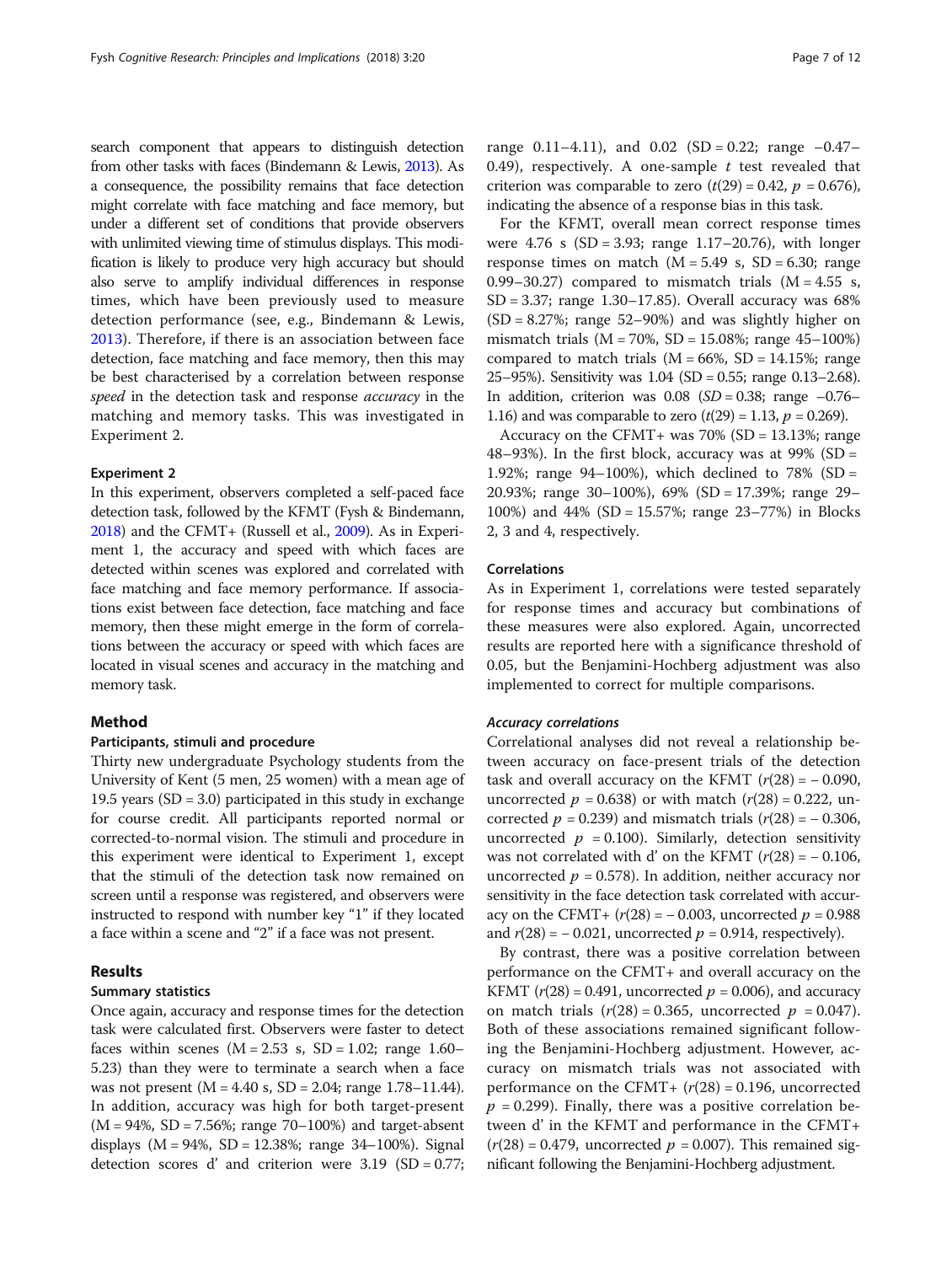search component that appears to distinguish detection from other tasks with faces (Bindemann & Lewis, [2013](#page-10-0)). As a consequence, the possibility remains that face detection might correlate with face matching and face memory, but under a different set of conditions that provide observers with unlimited viewing time of stimulus displays. This modification is likely to produce very high accuracy but should also serve to amplify individual differences in response times, which have been previously used to measure detection performance (see, e.g., Bindemann & Lewis, [2013\)](#page-10-0). Therefore, if there is an association between face detection, face matching and face memory, then this may be best characterised by a correlation between response speed in the detection task and response *accuracy* in the matching and memory tasks. This was investigated in Experiment 2.

#### Experiment 2

In this experiment, observers completed a self-paced face detection task, followed by the KFMT (Fysh & Bindemann, [2018\)](#page-11-0) and the CFMT+ (Russell et al., [2009\)](#page-11-0). As in Experiment 1, the accuracy and speed with which faces are detected within scenes was explored and correlated with face matching and face memory performance. If associations exist between face detection, face matching and face memory, then these might emerge in the form of correlations between the accuracy or speed with which faces are located in visual scenes and accuracy in the matching and memory task.

#### Method

#### Participants, stimuli and procedure

Thirty new undergraduate Psychology students from the University of Kent (5 men, 25 women) with a mean age of 19.5 years  $(SD = 3.0)$  participated in this study in exchange for course credit. All participants reported normal or corrected-to-normal vision. The stimuli and procedure in this experiment were identical to Experiment 1, except that the stimuli of the detection task now remained on screen until a response was registered, and observers were instructed to respond with number key "1" if they located a face within a scene and "2" if a face was not present.

#### Results

#### Summary statistics

Once again, accuracy and response times for the detection task were calculated first. Observers were faster to detect faces within scenes  $(M = 2.53 \text{ s}, SD = 1.02; range 1.60-$ 5.23) than they were to terminate a search when a face was not present (M = 4.40 s, SD = 2.04; range 1.78–11.44). In addition, accuracy was high for both target-present  $(M = 94\%, SD = 7.56\%; range 70-100\%)$  and target-absent displays  $(M = 94\%, SD = 12.38\%; range 34–100\%).$  Signal detection scores d'and criterion were  $3.19$  (SD = 0.77;

range 0.11–4.11), and 0.02 (SD = 0.22; range  $-0.47-$ 0.49), respectively. A one-sample  $t$  test revealed that criterion was comparable to zero  $(t(29) = 0.42, p = 0.676)$ , indicating the absence of a response bias in this task.

For the KFMT, overall mean correct response times were  $4.76 \text{ s}$  (SD = 3.93; range 1.17–20.76), with longer response times on match  $(M = 5.49 \text{ s}, SD = 6.30; range)$ 0.99–30.27) compared to mismatch trials  $(M = 4.55 s,$ SD = 3.37; range 1.30–17.85). Overall accuracy was 68%  $(SD = 8.27\%; range 52–90\%)$  and was slightly higher on mismatch trials ( $M = 70\%$ ,  $SD = 15.08\%$ ; range 45-100%) compared to match trials  $(M = 66\%, SD = 14.15\%;$  range 25–95%). Sensitivity was 1.04 (SD = 0.55; range 0.13–2.68). In addition, criterion was  $0.08$  (*SD* = 0.38; range  $-0.76-$ 1.16) and was comparable to zero  $(t(29) = 1.13, p = 0.269)$ .

Accuracy on the CFMT+ was  $70\%$  (SD = 13.13%; range 48–93%). In the first block, accuracy was at 99% (SD = 1.92%; range 94–100%), which declined to 78% (SD = 20.93%; range 30–100%), 69% (SD = 17.39%; range 29– 100%) and 44% (SD = 15.57%; range 23–77%) in Blocks 2, 3 and 4, respectively.

#### Correlations

As in Experiment 1, correlations were tested separately for response times and accuracy but combinations of these measures were also explored. Again, uncorrected results are reported here with a significance threshold of 0.05, but the Benjamini-Hochberg adjustment was also implemented to correct for multiple comparisons.

#### Accuracy correlations

Correlational analyses did not reveal a relationship between accuracy on face-present trials of the detection task and overall accuracy on the KFMT  $(r(28) = -0.090,$ uncorrected  $p = 0.638$ ) or with match  $(r(28) = 0.222$ , uncorrected  $p = 0.239$ ) and mismatch trials  $(r(28) = -0.306,$ uncorrected  $p = 0.100$ . Similarly, detection sensitivity was not correlated with d' on the KFMT  $(r(28) = -0.106,$ uncorrected  $p = 0.578$ ). In addition, neither accuracy nor sensitivity in the face detection task correlated with accuracy on the CFMT+  $(r(28) = -0.003$ , uncorrected  $p = 0.988$ and  $r(28) = -0.021$ , uncorrected  $p = 0.914$ , respectively).

By contrast, there was a positive correlation between performance on the CFMT+ and overall accuracy on the KFMT ( $r(28) = 0.491$ , uncorrected  $p = 0.006$ ), and accuracy on match trials  $(r(28) = 0.365$ , uncorrected  $p = 0.047$ ). Both of these associations remained significant following the Benjamini-Hochberg adjustment. However, accuracy on mismatch trials was not associated with performance on the CFMT+  $(r(28) = 0.196)$ , uncorrected  $p = 0.299$ ). Finally, there was a positive correlation between d' in the KFMT and performance in the CFMT+  $(r(28) = 0.479$ , uncorrected  $p = 0.007$ ). This remained significant following the Benjamini-Hochberg adjustment.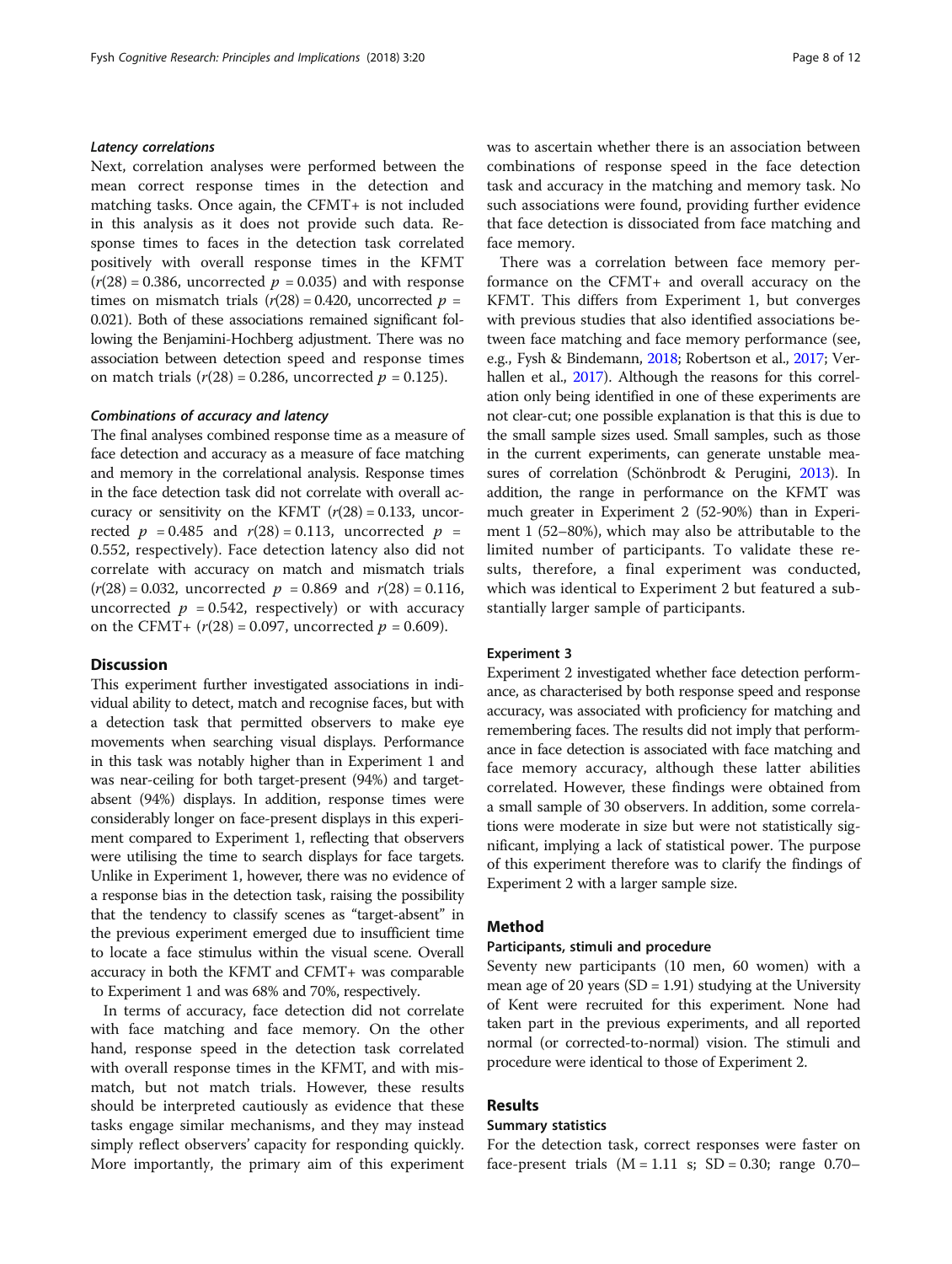#### Latency correlations

Next, correlation analyses were performed between the mean correct response times in the detection and matching tasks. Once again, the CFMT+ is not included in this analysis as it does not provide such data. Response times to faces in the detection task correlated positively with overall response times in the KFMT  $(r(28) = 0.386$ , uncorrected  $p = 0.035$ ) and with response times on mismatch trials  $(r(28) = 0.420$ , uncorrected  $p =$ 0.021). Both of these associations remained significant following the Benjamini-Hochberg adjustment. There was no association between detection speed and response times on match trials  $(r(28) = 0.286$ , uncorrected  $p = 0.125$ ).

#### Combinations of accuracy and latency

The final analyses combined response time as a measure of face detection and accuracy as a measure of face matching and memory in the correlational analysis. Response times in the face detection task did not correlate with overall accuracy or sensitivity on the KFMT  $(r(28) = 0.133,$  uncorrected  $p = 0.485$  and  $r(28) = 0.113$ , uncorrected  $p =$ 0.552, respectively). Face detection latency also did not correlate with accuracy on match and mismatch trials  $(r(28) = 0.032$ , uncorrected  $p = 0.869$  and  $r(28) = 0.116$ , uncorrected  $p = 0.542$ , respectively) or with accuracy on the CFMT+  $(r(28) = 0.097$ , uncorrected  $p = 0.609$ ).

#### **Discussion**

This experiment further investigated associations in individual ability to detect, match and recognise faces, but with a detection task that permitted observers to make eye movements when searching visual displays. Performance in this task was notably higher than in Experiment 1 and was near-ceiling for both target-present (94%) and targetabsent (94%) displays. In addition, response times were considerably longer on face-present displays in this experiment compared to Experiment 1, reflecting that observers were utilising the time to search displays for face targets. Unlike in Experiment 1, however, there was no evidence of a response bias in the detection task, raising the possibility that the tendency to classify scenes as "target-absent" in the previous experiment emerged due to insufficient time to locate a face stimulus within the visual scene. Overall accuracy in both the KFMT and CFMT+ was comparable to Experiment 1 and was 68% and 70%, respectively.

In terms of accuracy, face detection did not correlate with face matching and face memory. On the other hand, response speed in the detection task correlated with overall response times in the KFMT, and with mismatch, but not match trials. However, these results should be interpreted cautiously as evidence that these tasks engage similar mechanisms, and they may instead simply reflect observers' capacity for responding quickly. More importantly, the primary aim of this experiment was to ascertain whether there is an association between combinations of response speed in the face detection task and accuracy in the matching and memory task. No such associations were found, providing further evidence that face detection is dissociated from face matching and face memory.

There was a correlation between face memory performance on the CFMT+ and overall accuracy on the KFMT. This differs from Experiment 1, but converges with previous studies that also identified associations between face matching and face memory performance (see, e.g., Fysh & Bindemann, [2018](#page-11-0); Robertson et al., [2017;](#page-11-0) Ver-hallen et al., [2017\)](#page-11-0). Although the reasons for this correlation only being identified in one of these experiments are not clear-cut; one possible explanation is that this is due to the small sample sizes used. Small samples, such as those in the current experiments, can generate unstable measures of correlation (Schönbrodt & Perugini, [2013](#page-11-0)). In addition, the range in performance on the KFMT was much greater in Experiment 2 (52-90%) than in Experiment 1 (52–80%), which may also be attributable to the limited number of participants. To validate these results, therefore, a final experiment was conducted, which was identical to Experiment 2 but featured a substantially larger sample of participants.

#### Experiment 3

Experiment 2 investigated whether face detection performance, as characterised by both response speed and response accuracy, was associated with proficiency for matching and remembering faces. The results did not imply that performance in face detection is associated with face matching and face memory accuracy, although these latter abilities correlated. However, these findings were obtained from a small sample of 30 observers. In addition, some correlations were moderate in size but were not statistically significant, implying a lack of statistical power. The purpose of this experiment therefore was to clarify the findings of Experiment 2 with a larger sample size.

#### Method

#### Participants, stimuli and procedure

Seventy new participants (10 men, 60 women) with a mean age of 20 years  $(SD = 1.91)$  studying at the University of Kent were recruited for this experiment. None had taken part in the previous experiments, and all reported normal (or corrected-to-normal) vision. The stimuli and procedure were identical to those of Experiment 2.

#### Results

#### Summary statistics

For the detection task, correct responses were faster on face-present trials  $(M = 1.11 \text{ s}; SD = 0.30; range 0.70-$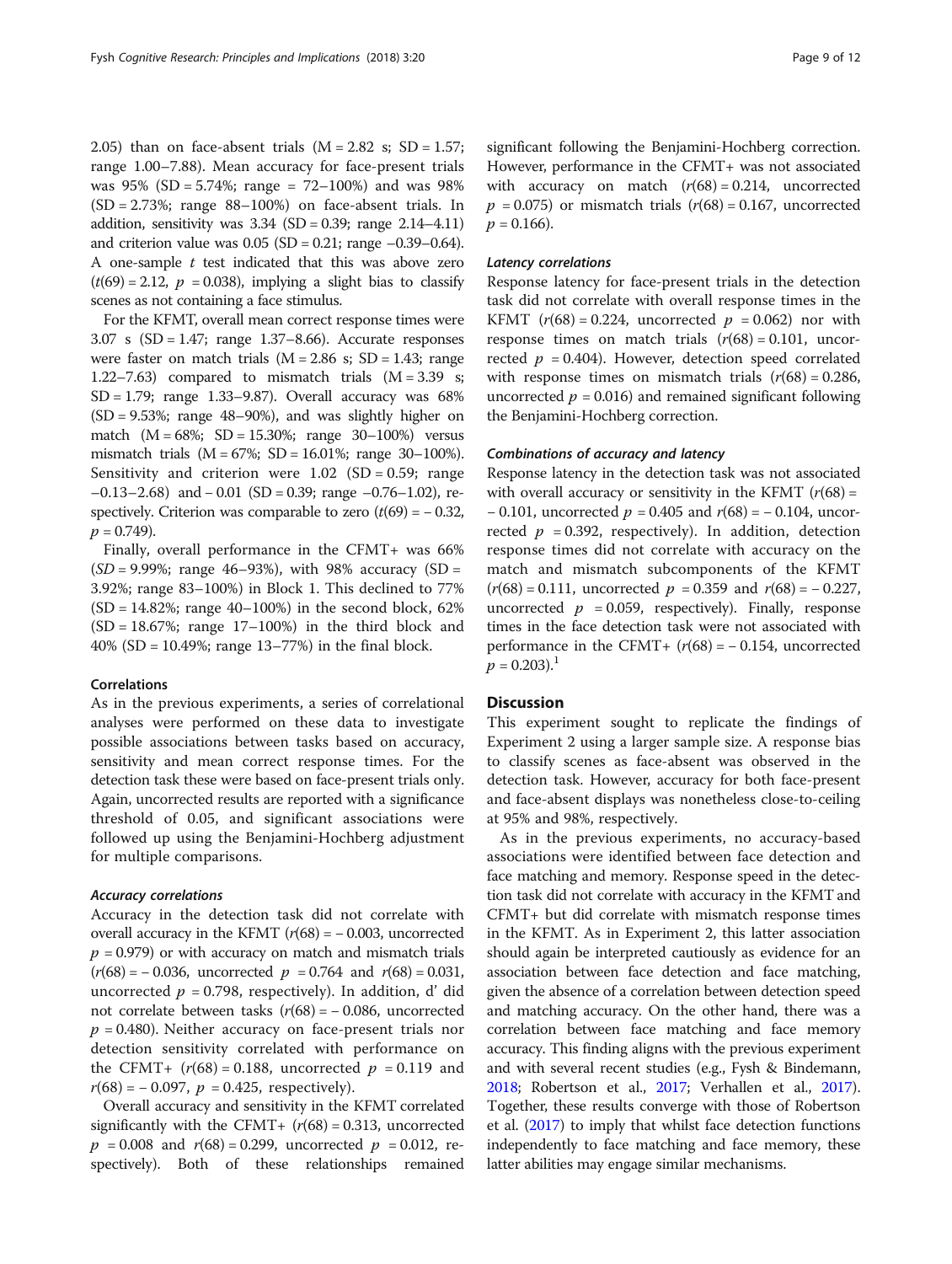2.05) than on face-absent trials  $(M = 2.82 \text{ s}; SD = 1.57;$ range 1.00–7.88). Mean accuracy for face-present trials was  $95\%$  (SD = 5.74%; range = 72–100%) and was  $98\%$  $(SD = 2.73\%$ ; range  $88-100\%$  on face-absent trials. In addition, sensitivity was  $3.34$  (SD = 0.39; range  $2.14-4.11$ ) and criterion value was  $0.05$  (SD = 0.21; range  $-0.39 - 0.64$ ). A one-sample  $t$  test indicated that this was above zero  $(t(69) = 2.12$ ,  $p = 0.038$ ), implying a slight bias to classify scenes as not containing a face stimulus.

For the KFMT, overall mean correct response times were 3.07 s (SD = 1.47; range 1.37–8.66). Accurate responses were faster on match trials  $(M = 2.86 \text{ s}; SD = 1.43; range)$ 1.22–7.63) compared to mismatch trials  $(M = 3.39 s;$ SD = 1.79; range 1.33–9.87). Overall accuracy was 68%  $(SD = 9.53\%$ ; range 48–90%), and was slightly higher on match (M = 68%; SD = 15.30%; range 30–100%) versus mismatch trials (M = 67%; SD = 16.01%; range 30–100%). Sensitivity and criterion were  $1.02$  (SD = 0.59; range –0.13–2.68) and − 0.01 (SD = 0.39; range –0.76–1.02), respectively. Criterion was comparable to zero  $(t(69) = -0.32)$ ,  $p = 0.749$ .

Finally, overall performance in the CFMT+ was 66%  $(SD = 9.99\%;$  range 46–93%), with 98% accuracy  $(SD = 9.99\%;$ 3.92%; range 83–100%) in Block 1. This declined to 77%  $(SD = 14.82\%$ ; range 40–100%) in the second block, 62%  $(SD = 18.67\%;$  range 17–100%) in the third block and 40% (SD = 10.49%; range 13–77%) in the final block.

#### Correlations

As in the previous experiments, a series of correlational analyses were performed on these data to investigate possible associations between tasks based on accuracy, sensitivity and mean correct response times. For the detection task these were based on face-present trials only. Again, uncorrected results are reported with a significance threshold of 0.05, and significant associations were followed up using the Benjamini-Hochberg adjustment for multiple comparisons.

#### Accuracy correlations

Accuracy in the detection task did not correlate with overall accuracy in the KFMT  $(r(68) = -0.003$ , uncorrected  $p = 0.979$  or with accuracy on match and mismatch trials  $(r(68) = -0.036$ , uncorrected  $p = 0.764$  and  $r(68) = 0.031$ , uncorrected  $p = 0.798$ , respectively). In addition, d' did not correlate between tasks  $(r(68) = -0.086,$  uncorrected  $p = 0.480$ ). Neither accuracy on face-present trials nor detection sensitivity correlated with performance on the CFMT+  $(r(68) = 0.188$ , uncorrected  $p = 0.119$  and  $r(68) = -0.097$ ,  $p = 0.425$ , respectively).

Overall accuracy and sensitivity in the KFMT correlated significantly with the CFMT+  $(r(68) = 0.313$ , uncorrected  $p = 0.008$  and  $r(68) = 0.299$ , uncorrected  $p = 0.012$ , respectively). Both of these relationships remained

significant following the Benjamini-Hochberg correction. However, performance in the CFMT+ was not associated with accuracy on match  $(r(68) = 0.214,$  uncorrected  $p = 0.075$ ) or mismatch trials  $(r(68) = 0.167$ , uncorrected  $p = 0.166$ ).

#### Latency correlations

Response latency for face-present trials in the detection task did not correlate with overall response times in the KFMT  $(r(68) = 0.224$ , uncorrected  $p = 0.062$ ) nor with response times on match trials  $(r(68) = 0.101,$  uncorrected  $p = 0.404$ ). However, detection speed correlated with response times on mismatch trials  $(r(68) = 0.286,$ uncorrected  $p = 0.016$ ) and remained significant following the Benjamini-Hochberg correction.

#### Combinations of accuracy and latency

Response latency in the detection task was not associated with overall accuracy or sensitivity in the KFMT  $(r(68) =$  $-0.101$ , uncorrected  $p = 0.405$  and  $r(68) = -0.104$ , uncorrected  $p = 0.392$ , respectively). In addition, detection response times did not correlate with accuracy on the match and mismatch subcomponents of the KFMT  $(r(68) = 0.111$ , uncorrected  $p = 0.359$  and  $r(68) = -0.227$ , uncorrected  $p = 0.059$ , respectively). Finally, response times in the face detection task were not associated with performance in the CFMT+  $(r(68) = -0.154$ , uncorrected  $p = 0.203$ .<sup>1</sup>

#### **Discussion**

This experiment sought to replicate the findings of Experiment 2 using a larger sample size. A response bias to classify scenes as face-absent was observed in the detection task. However, accuracy for both face-present and face-absent displays was nonetheless close-to-ceiling at 95% and 98%, respectively.

As in the previous experiments, no accuracy-based associations were identified between face detection and face matching and memory. Response speed in the detection task did not correlate with accuracy in the KFMT and CFMT+ but did correlate with mismatch response times in the KFMT. As in Experiment 2, this latter association should again be interpreted cautiously as evidence for an association between face detection and face matching, given the absence of a correlation between detection speed and matching accuracy. On the other hand, there was a correlation between face matching and face memory accuracy. This finding aligns with the previous experiment and with several recent studies (e.g., Fysh & Bindemann, [2018](#page-11-0); Robertson et al., [2017;](#page-11-0) Verhallen et al., [2017](#page-11-0)). Together, these results converge with those of Robertson et al. [\(2017](#page-11-0)) to imply that whilst face detection functions independently to face matching and face memory, these latter abilities may engage similar mechanisms.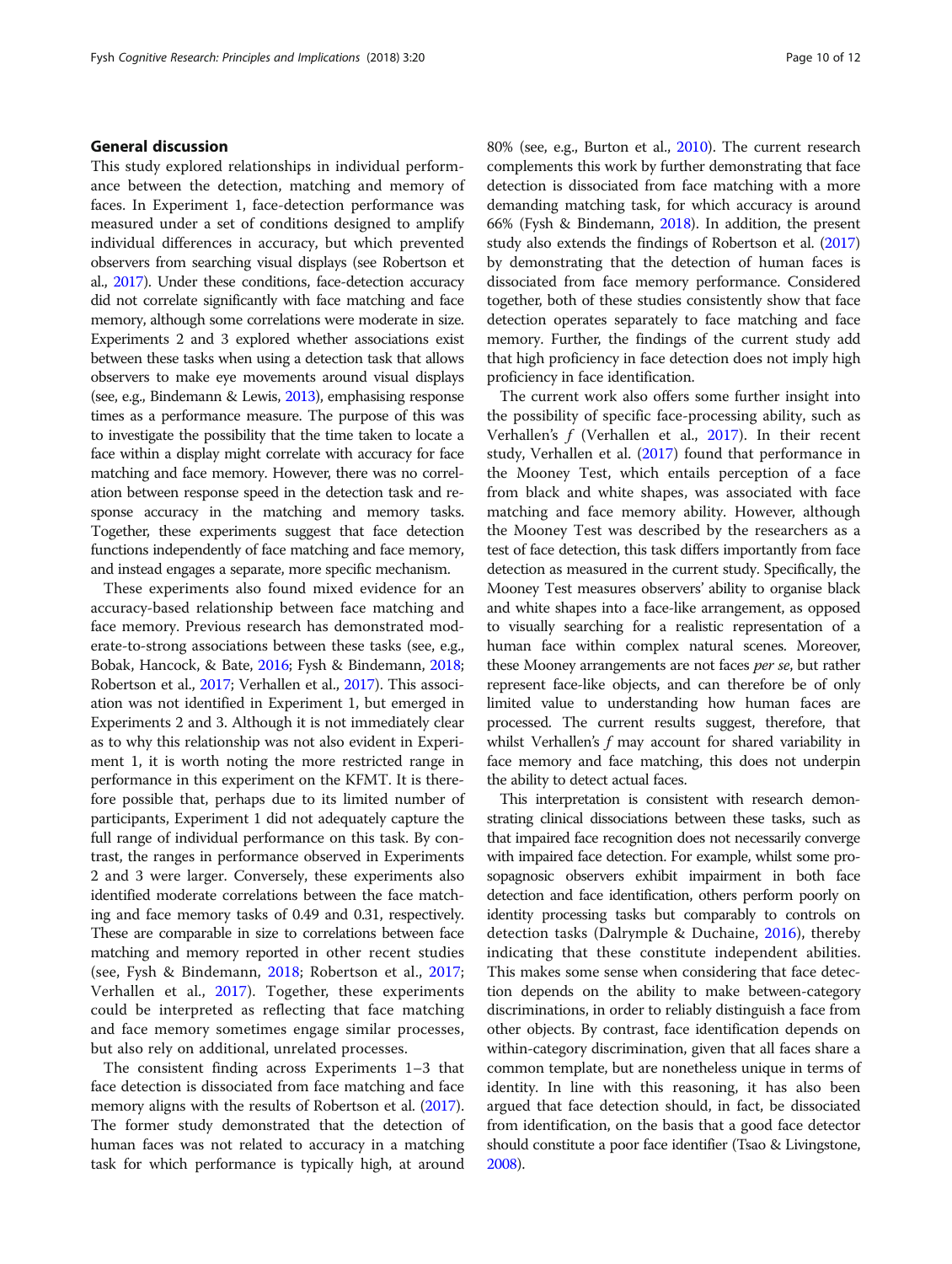#### <span id="page-10-0"></span>General discussion

This study explored relationships in individual performance between the detection, matching and memory of faces. In Experiment 1, face-detection performance was measured under a set of conditions designed to amplify individual differences in accuracy, but which prevented observers from searching visual displays (see Robertson et al., [2017\)](#page-11-0). Under these conditions, face-detection accuracy did not correlate significantly with face matching and face memory, although some correlations were moderate in size. Experiments 2 and 3 explored whether associations exist between these tasks when using a detection task that allows observers to make eye movements around visual displays (see, e.g., Bindemann & Lewis, 2013), emphasising response times as a performance measure. The purpose of this was to investigate the possibility that the time taken to locate a face within a display might correlate with accuracy for face matching and face memory. However, there was no correlation between response speed in the detection task and response accuracy in the matching and memory tasks. Together, these experiments suggest that face detection functions independently of face matching and face memory, and instead engages a separate, more specific mechanism.

These experiments also found mixed evidence for an accuracy-based relationship between face matching and face memory. Previous research has demonstrated moderate-to-strong associations between these tasks (see, e.g., Bobak, Hancock, & Bate, 2016; Fysh & Bindemann, [2018](#page-11-0); Robertson et al., [2017](#page-11-0); Verhallen et al., [2017\)](#page-11-0). This association was not identified in Experiment 1, but emerged in Experiments 2 and 3. Although it is not immediately clear as to why this relationship was not also evident in Experiment 1, it is worth noting the more restricted range in performance in this experiment on the KFMT. It is therefore possible that, perhaps due to its limited number of participants, Experiment 1 did not adequately capture the full range of individual performance on this task. By contrast, the ranges in performance observed in Experiments 2 and 3 were larger. Conversely, these experiments also identified moderate correlations between the face matching and face memory tasks of 0.49 and 0.31, respectively. These are comparable in size to correlations between face matching and memory reported in other recent studies (see, Fysh & Bindemann, [2018;](#page-11-0) Robertson et al., [2017](#page-11-0); Verhallen et al., [2017\)](#page-11-0). Together, these experiments could be interpreted as reflecting that face matching and face memory sometimes engage similar processes, but also rely on additional, unrelated processes.

The consistent finding across Experiments 1–3 that face detection is dissociated from face matching and face memory aligns with the results of Robertson et al. [\(2017](#page-11-0)). The former study demonstrated that the detection of human faces was not related to accuracy in a matching task for which performance is typically high, at around 80% (see, e.g., Burton et al., 2010). The current research complements this work by further demonstrating that face detection is dissociated from face matching with a more demanding matching task, for which accuracy is around 66% (Fysh & Bindemann, [2018](#page-11-0)). In addition, the present study also extends the findings of Robertson et al. [\(2017](#page-11-0)) by demonstrating that the detection of human faces is dissociated from face memory performance. Considered together, both of these studies consistently show that face detection operates separately to face matching and face memory. Further, the findings of the current study add that high proficiency in face detection does not imply high proficiency in face identification.

The current work also offers some further insight into the possibility of specific face-processing ability, such as Verhallen's  $f$  (Verhallen et al., [2017](#page-11-0)). In their recent study, Verhallen et al. ([2017](#page-11-0)) found that performance in the Mooney Test, which entails perception of a face from black and white shapes, was associated with face matching and face memory ability. However, although the Mooney Test was described by the researchers as a test of face detection, this task differs importantly from face detection as measured in the current study. Specifically, the Mooney Test measures observers' ability to organise black and white shapes into a face-like arrangement, as opposed to visually searching for a realistic representation of a human face within complex natural scenes. Moreover, these Mooney arrangements are not faces *per se*, but rather represent face-like objects, and can therefore be of only limited value to understanding how human faces are processed. The current results suggest, therefore, that whilst Verhallen's f may account for shared variability in face memory and face matching, this does not underpin the ability to detect actual faces.

This interpretation is consistent with research demonstrating clinical dissociations between these tasks, such as that impaired face recognition does not necessarily converge with impaired face detection. For example, whilst some prosopagnosic observers exhibit impairment in both face detection and face identification, others perform poorly on identity processing tasks but comparably to controls on detection tasks (Dalrymple & Duchaine, [2016](#page-11-0)), thereby indicating that these constitute independent abilities. This makes some sense when considering that face detection depends on the ability to make between-category discriminations, in order to reliably distinguish a face from other objects. By contrast, face identification depends on within-category discrimination, given that all faces share a common template, but are nonetheless unique in terms of identity. In line with this reasoning, it has also been argued that face detection should, in fact, be dissociated from identification, on the basis that a good face detector should constitute a poor face identifier (Tsao & Livingstone, [2008\)](#page-11-0).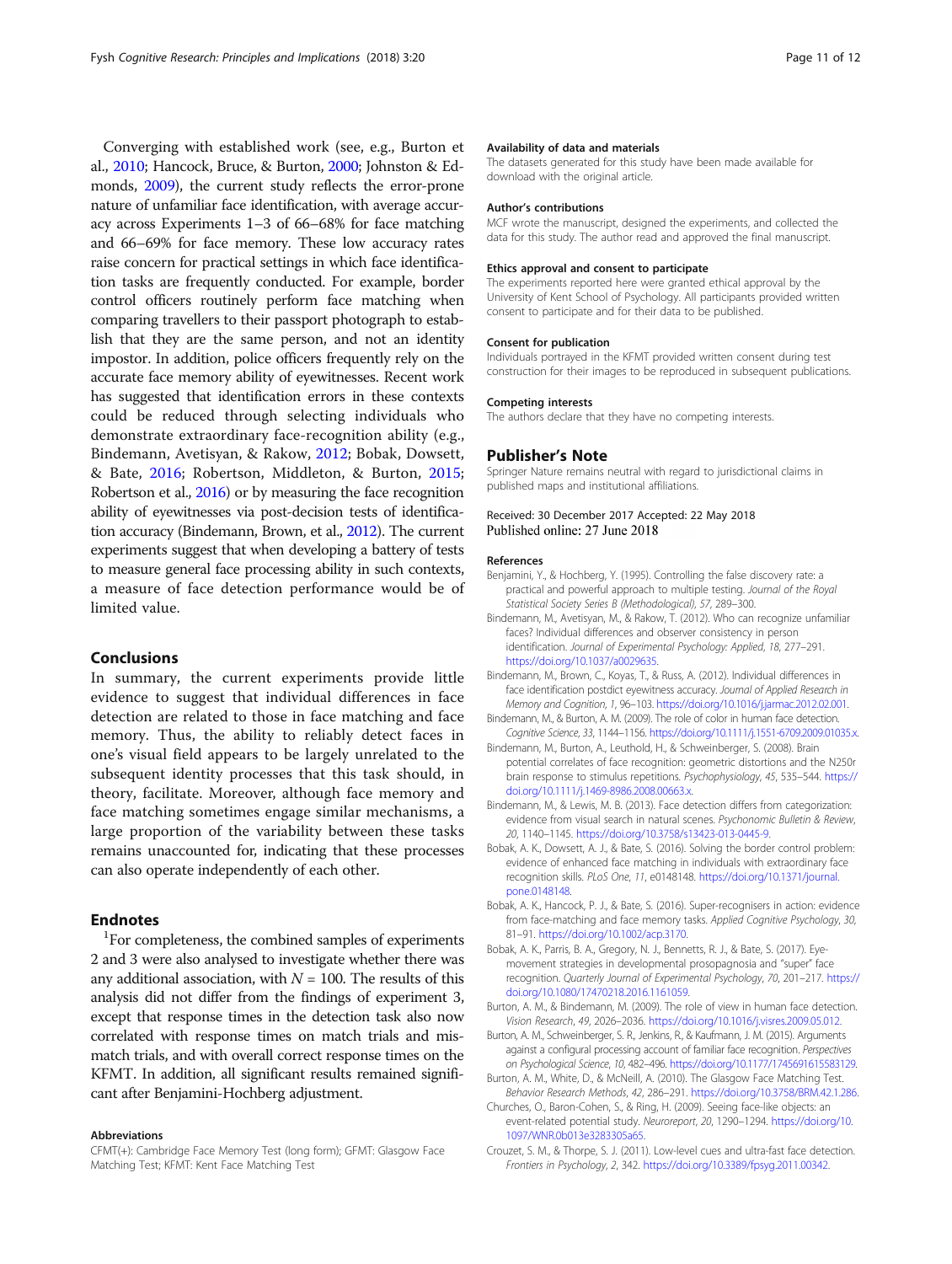<span id="page-11-0"></span>Converging with established work (see, e.g., Burton et al., [2010](#page-10-0); Hancock, Bruce, & Burton, 2000; Johnston & Edmonds, 2009), the current study reflects the error-prone nature of unfamiliar face identification, with average accuracy across Experiments 1–3 of 66–68% for face matching and 66–69% for face memory. These low accuracy rates raise concern for practical settings in which face identification tasks are frequently conducted. For example, border control officers routinely perform face matching when comparing travellers to their passport photograph to establish that they are the same person, and not an identity impostor. In addition, police officers frequently rely on the accurate face memory ability of eyewitnesses. Recent work has suggested that identification errors in these contexts could be reduced through selecting individuals who demonstrate extraordinary face-recognition ability (e.g., Bindemann, Avetisyan, & Rakow, [2012;](#page-10-0) Bobak, Dowsett, & Bate, [2016;](#page-10-0) Robertson, Middleton, & Burton, 2015; Robertson et al., 2016) or by measuring the face recognition ability of eyewitnesses via post-decision tests of identification accuracy (Bindemann, Brown, et al., [2012\)](#page-10-0). The current experiments suggest that when developing a battery of tests to measure general face processing ability in such contexts, a measure of face detection performance would be of limited value.

#### Conclusions

In summary, the current experiments provide little evidence to suggest that individual differences in face detection are related to those in face matching and face memory. Thus, the ability to reliably detect faces in one's visual field appears to be largely unrelated to the subsequent identity processes that this task should, in theory, facilitate. Moreover, although face memory and face matching sometimes engage similar mechanisms, a large proportion of the variability between these tasks remains unaccounted for, indicating that these processes can also operate independently of each other.

#### Endnotes

<sup>1</sup>For completeness, the combined samples of experiments 2 and 3 were also analysed to investigate whether there was any additional association, with  $N = 100$ . The results of this analysis did not differ from the findings of experiment 3, except that response times in the detection task also now correlated with response times on match trials and mismatch trials, and with overall correct response times on the KFMT. In addition, all significant results remained significant after Benjamini-Hochberg adjustment.

#### Abbreviations

CFMT(+): Cambridge Face Memory Test (long form); GFMT: Glasgow Face Matching Test; KFMT: Kent Face Matching Test

#### Availability of data and materials

The datasets generated for this study have been made available for download with the original article.

#### Author's contributions

MCF wrote the manuscript, designed the experiments, and collected the data for this study. The author read and approved the final manuscript.

#### Ethics approval and consent to participate

The experiments reported here were granted ethical approval by the University of Kent School of Psychology. All participants provided written consent to participate and for their data to be published.

#### Consent for publication

Individuals portrayed in the KFMT provided written consent during test construction for their images to be reproduced in subsequent publications.

#### Competing interests

The authors declare that they have no competing interests.

#### Publisher's Note

Springer Nature remains neutral with regard to jurisdictional claims in published maps and institutional affiliations.

#### Received: 30 December 2017 Accepted: 22 May 2018 Published online: 27 June 2018

#### References

- Benjamini, Y., & Hochberg, Y. (1995). Controlling the false discovery rate: a practical and powerful approach to multiple testing. *Journal of the Royal Statistical Society Series B (Methodological)*, *57*, 289–300.
- Bindemann, M., Avetisyan, M., & Rakow, T. (2012). Who can recognize unfamiliar faces? Individual differences and observer consistency in person identification. *Journal of Experimental Psychology: Applied*, *18*, 277–291. <https://doi.org/10.1037/a0029635>.
- Bindemann, M., Brown, C., Koyas, T., & Russ, A. (2012). Individual differences in face identification postdict eyewitness accuracy. *Journal of Applied Research in Memory and Cognition*, *1*, 96–103. <https://doi.org/10.1016/j.jarmac.2012.02.001>.
- Bindemann, M., & Burton, A. M. (2009). The role of color in human face detection. *Cognitive Science*, *33*, 1144–1156. <https://doi.org/10.1111/j.1551-6709.2009.01035.x>.
- Bindemann, M., Burton, A., Leuthold, H., & Schweinberger, S. (2008). Brain potential correlates of face recognition: geometric distortions and the N250r brain response to stimulus repetitions. *Psychophysiology*, *45*, 535–544. [https://](https://doi.org/10.1111/j.1469-8986.2008.00663.x) [doi.org/10.1111/j.1469-8986.2008.00663.x.](https://doi.org/10.1111/j.1469-8986.2008.00663.x)
- Bindemann, M., & Lewis, M. B. (2013). Face detection differs from categorization: evidence from visual search in natural scenes. *Psychonomic Bulletin & Review*, *20*, 1140–1145. <https://doi.org/10.3758/s13423-013-0445-9>.
- Bobak, A. K., Dowsett, A. J., & Bate, S. (2016). Solving the border control problem: evidence of enhanced face matching in individuals with extraordinary face recognition skills. *PLoS One*, *11*, e0148148. [https://doi.org/10.1371/journal.](https://doi.org/10.1371/journal.pone.0148148) [pone.0148148.](https://doi.org/10.1371/journal.pone.0148148)
- Bobak, A. K., Hancock, P. J., & Bate, S. (2016). Super-recognisers in action: evidence from face-matching and face memory tasks. *Applied Cognitive Psychology*, *30*, 81–91. <https://doi.org/10.1002/acp.3170>.
- Bobak, A. K., Parris, B. A., Gregory, N. J., Bennetts, R. J., & Bate, S. (2017). Eyemovement strategies in developmental prosopagnosia and "super" face recognition. *Quarterly Journal of Experimental Psychology*, *70*, 201–217. [https://](https://doi.org/10.1080/17470218.2016.1161059) [doi.org/10.1080/17470218.2016.1161059.](https://doi.org/10.1080/17470218.2016.1161059)
- Burton, A. M., & Bindemann, M. (2009). The role of view in human face detection. *Vision Research*, *49*, 2026–2036. [https://doi.org/10.1016/j.visres.2009.05.012.](https://doi.org/10.1016/j.visres.2009.05.012)
- Burton, A. M., Schweinberger, S. R., Jenkins, R., & Kaufmann, J. M. (2015). Arguments against a configural processing account of familiar face recognition. *Perspectives on Psychological Science*, *10*, 482–496. <https://doi.org/10.1177/1745691615583129>.
- Burton, A. M., White, D., & McNeill, A. (2010). The Glasgow Face Matching Test. *Behavior Research Methods*, *42*, 286–291. <https://doi.org/10.3758/BRM.42.1.286>.
- Churches, O., Baron-Cohen, S., & Ring, H. (2009). Seeing face-like objects: an event-related potential study. *Neuroreport*, *20*, 1290–1294. [https://doi.org/10.](https://doi.org/10.1097/WNR.0b013e3283305a65) [1097/WNR.0b013e3283305a65.](https://doi.org/10.1097/WNR.0b013e3283305a65)
- Crouzet, S. M., & Thorpe, S. J. (2011). Low-level cues and ultra-fast face detection. *Frontiers in Psychology*, *2*, 342. <https://doi.org/10.3389/fpsyg.2011.00342>.